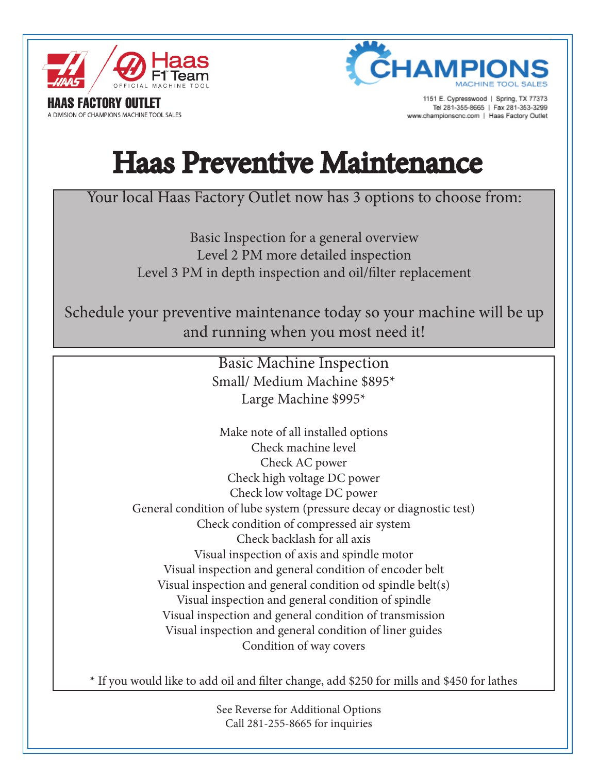

**S FACTORY OUTLET** 

A DIVISION OF CHAMPIONS MACHINE TOOL SALES



1151 E. Cypresswood | Spring, TX 77373 Tel 281-355-8665 | Fax 281-353-3299 ww.championscnc.com | Haas Factory Outlet

## Haas Preventive Maintenance

## Your local Haas Factory Outlet now has 3 options to choose from:

Basic Inspection for a general overview Level 2 PM more detailed inspection Level 3 PM in depth inspection and oil/filter replacement

Schedule your preventive maintenance today so your machine will be up and running when you most need it!

> Basic Machine Inspection Small/ Medium Machine \$895\* Large Machine \$995\*

Make note of all installed options Check machine level Check AC power Check high voltage DC power Check low voltage DC power General condition of lube system (pressure decay or diagnostic test) Check condition of compressed air system Check backlash for all axis Visual inspection of axis and spindle motor Visual inspection and general condition of encoder belt Visual inspection and general condition od spindle belt(s) Visual inspection and general condition of spindle Visual inspection and general condition of transmission Visual inspection and general condition of liner guides Condition of way covers

\* If you would like to add oil and filter change, add \$250 for mills and \$450 for lathes

See Reverse for Additional Options Call 281-255-8665 for inquiries